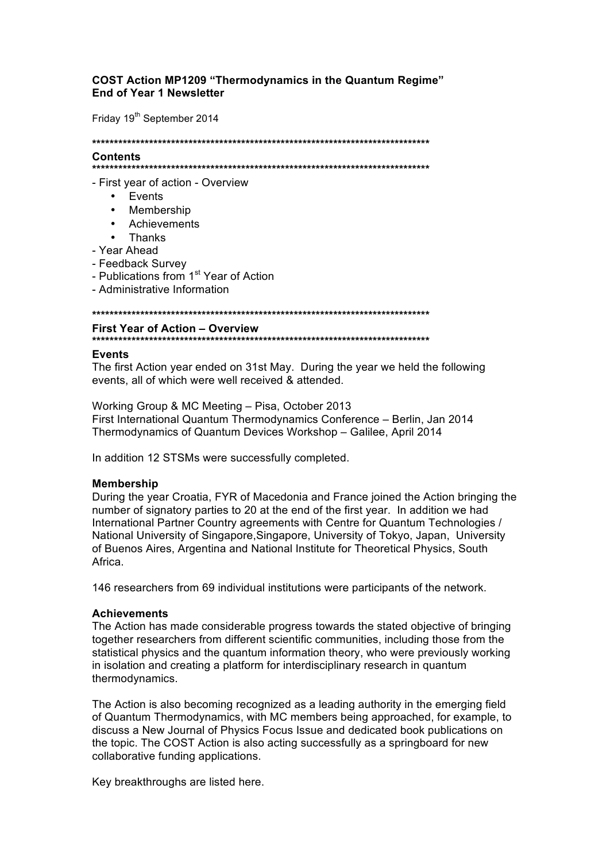# **COST Action MP1209 "Thermodynamics in the Quantum Regime" End of Year 1 Newsletter**

Friday 19<sup>th</sup> September 2014

#### **Contents**

- First year of action - Overview

- Events
- Membership
- Achievements
- Thanks
- Year Ahead
- Feedback Survey
- Publications from 1<sup>st</sup> Year of Action
- Administrative Information

## **First Year of Action - Overview**

### **Events**

The first Action year ended on 31st May. During the year we held the following events, all of which were well received & attended.

Working Group & MC Meeting - Pisa, October 2013 First International Quantum Thermodynamics Conference - Berlin, Jan 2014 Thermodynamics of Quantum Devices Workshop - Galilee, April 2014

In addition 12 STSMs were successfully completed.

### **Membership**

During the year Croatia, FYR of Macedonia and France joined the Action bringing the number of signatory parties to 20 at the end of the first year. In addition we had International Partner Country agreements with Centre for Quantum Technologies / National University of Singapore, Singapore, University of Tokyo, Japan, University of Buenos Aires. Argentina and National Institute for Theoretical Physics. South Africa

146 researchers from 69 individual institutions were participants of the network.

### **Achievements**

The Action has made considerable progress towards the stated objective of bringing together researchers from different scientific communities, including those from the statistical physics and the quantum information theory, who were previously working in isolation and creating a platform for interdisciplinary research in quantum thermodynamics.

The Action is also becoming recognized as a leading authority in the emerging field of Quantum Thermodynamics, with MC members being approached, for example, to discuss a New Journal of Physics Focus Issue and dedicated book publications on the topic. The COST Action is also acting successfully as a springboard for new collaborative funding applications.

Key breakthroughs are listed here.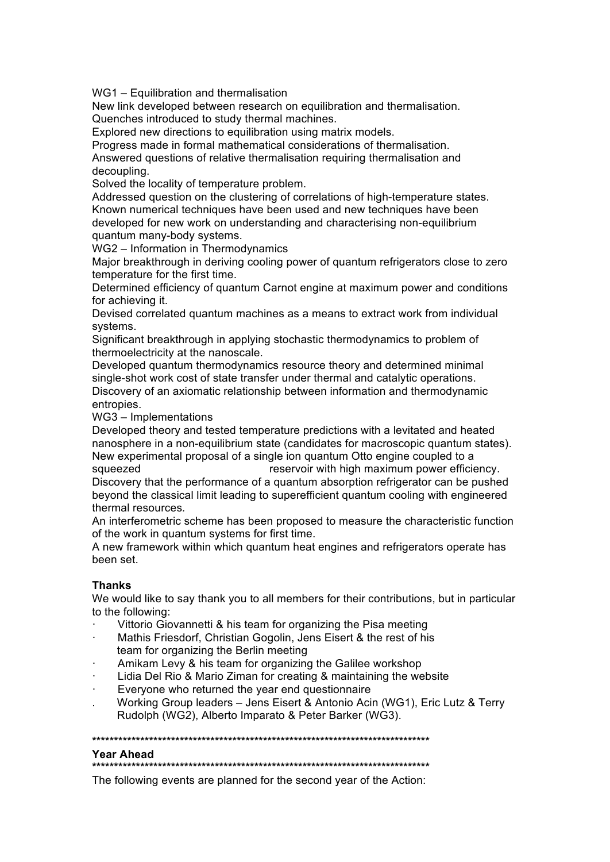WG1 – Equilibration and thermalisation

New link developed between research on equilibration and thermalisation. Quenches introduced to study thermal machines.

Explored new directions to equilibration using matrix models.

Progress made in formal mathematical considerations of thermalisation.

Answered questions of relative thermalisation requiring thermalisation and decoupling.

Solved the locality of temperature problem.

Addressed question on the clustering of correlations of high-temperature states. Known numerical techniques have been used and new techniques have been developed for new work on understanding and characterising non-equilibrium quantum many-body systems.

WG2 – Information in Thermodynamics

Major breakthrough in deriving cooling power of quantum refrigerators close to zero temperature for the first time.

Determined efficiency of quantum Carnot engine at maximum power and conditions for achieving it.

Devised correlated quantum machines as a means to extract work from individual systems.

Significant breakthrough in applying stochastic thermodynamics to problem of thermoelectricity at the nanoscale.

Developed quantum thermodynamics resource theory and determined minimal single-shot work cost of state transfer under thermal and catalytic operations. Discovery of an axiomatic relationship between information and thermodynamic entropies.

WG3 – Implementations

Developed theory and tested temperature predictions with a levitated and heated nanosphere in a non-equilibrium state (candidates for macroscopic quantum states). New experimental proposal of a single ion quantum Otto engine coupled to a squeezed **reservoir with high maximum power efficiency**.

Discovery that the performance of a quantum absorption refrigerator can be pushed beyond the classical limit leading to superefficient quantum cooling with engineered thermal resources*.*

An interferometric scheme has been proposed to measure the characteristic function of the work in quantum systems for first time.

A new framework within which quantum heat engines and refrigerators operate has been set.

# **Thanks**

We would like to say thank you to all members for their contributions, but in particular to the following:

- Vittorio Giovannetti & his team for organizing the Pisa meeting
- Mathis Friesdorf, Christian Gogolin, Jens Eisert & the rest of his team for organizing the Berlin meeting
- Amikam Levy & his team for organizing the Galilee workshop
- Lidia Del Rio & Mario Ziman for creating & maintaining the website
- Everyone who returned the year end questionnaire
- . Working Group leaders Jens Eisert & Antonio Acin (WG1), Eric Lutz & Terry Rudolph (WG2), Alberto Imparato & Peter Barker (WG3).

**\*\*\*\*\*\*\*\*\*\*\*\*\*\*\*\*\*\*\*\*\*\*\*\*\*\*\*\*\*\*\*\*\*\*\*\*\*\*\*\*\*\*\*\*\*\*\*\*\*\*\*\*\*\*\*\*\*\*\*\*\*\*\*\*\*\*\*\*\*\*\*\*\*\*\*\*\***

#### **Year Ahead**

**\*\*\*\*\*\*\*\*\*\*\*\*\*\*\*\*\*\*\*\*\*\*\*\*\*\*\*\*\*\*\*\*\*\*\*\*\*\*\*\*\*\*\*\*\*\*\*\*\*\*\*\*\*\*\*\*\*\*\*\*\*\*\*\*\*\*\*\*\*\*\*\*\*\*\*\*\***

The following events are planned for the second year of the Action: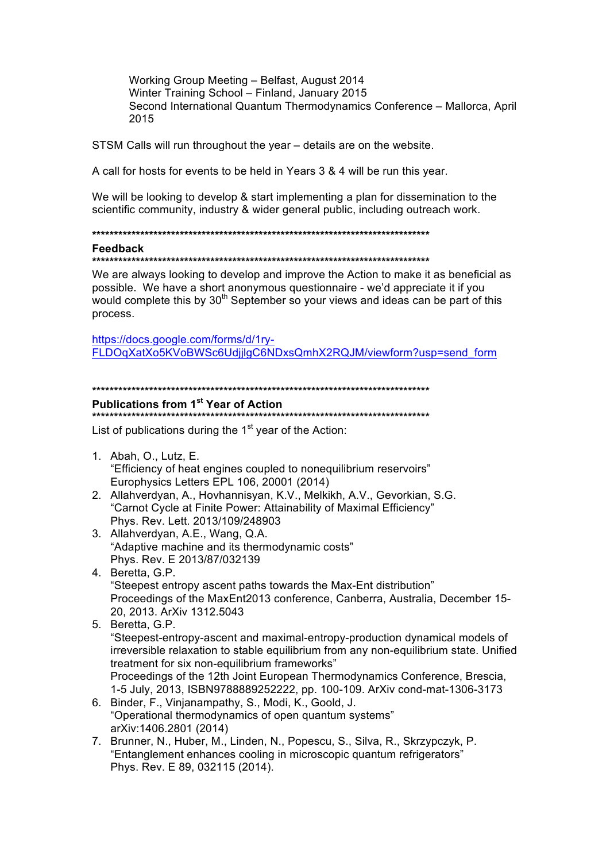Working Group Meeting - Belfast, August 2014 Winter Training School - Finland, January 2015 Second International Quantum Thermodynamics Conference - Mallorca, April 2015

STSM Calls will run throughout the year - details are on the website.

A call for hosts for events to be held in Years 3 & 4 will be run this year.

We will be looking to develop & start implementing a plan for dissemination to the scientific community, industry & wider general public, including outreach work.

#### Feedback

We are always looking to develop and improve the Action to make it as beneficial as possible. We have a short anonymous questionnaire - we'd appreciate it if you would complete this by 30<sup>th</sup> September so your views and ideas can be part of this process.

https://docs.google.com/forms/d/1ry-FLDOgXatXo5KVoBWSc6UdjjlgC6NDxsQmhX2RQJM/viewform?usp=send\_form

# Publications from 1<sup>st</sup> Year of Action

List of publications during the 1<sup>st</sup> year of the Action:

- 1. Abah, O., Lutz, E. "Efficiency of heat engines coupled to nonequilibrium reservoirs" Europhysics Letters EPL 106, 20001 (2014)
- 2. Allahverdyan, A., Hovhannisyan, K.V., Melkikh, A.V., Gevorkian, S.G. "Carnot Cycle at Finite Power: Attainability of Maximal Efficiency" Phys. Rev. Lett. 2013/109/248903
- 3. Allahverdyan, A.E., Wang, Q.A. "Adaptive machine and its thermodynamic costs" Phys. Rev. E 2013/87/032139
- 4. Beretta, G.P. "Steepest entropy ascent paths towards the Max-Ent distribution" Proceedings of the MaxEnt2013 conference, Canberra, Australia, December 15-20, 2013. ArXiv 1312.5043
- 5. Beretta, G.P. "Steepest-entropy-ascent and maximal-entropy-production dynamical models of irreversible relaxation to stable equilibrium from any non-equilibrium state. Unified treatment for six non-equilibrium frameworks" Proceedings of the 12th Joint European Thermodynamics Conference, Brescia, 1-5 July, 2013, ISBN9788889252222, pp. 100-109. ArXiv cond-mat-1306-3173
- 6. Binder, F., Vinjanampathy, S., Modi, K., Goold, J. "Operational thermodynamics of open quantum systems" arXiv:1406.2801 (2014)
- 7. Brunner, N., Huber, M., Linden, N., Popescu, S., Silva, R., Skrzypczyk, P. "Entanglement enhances cooling in microscopic quantum refrigerators" Phys. Rev. E 89, 032115 (2014).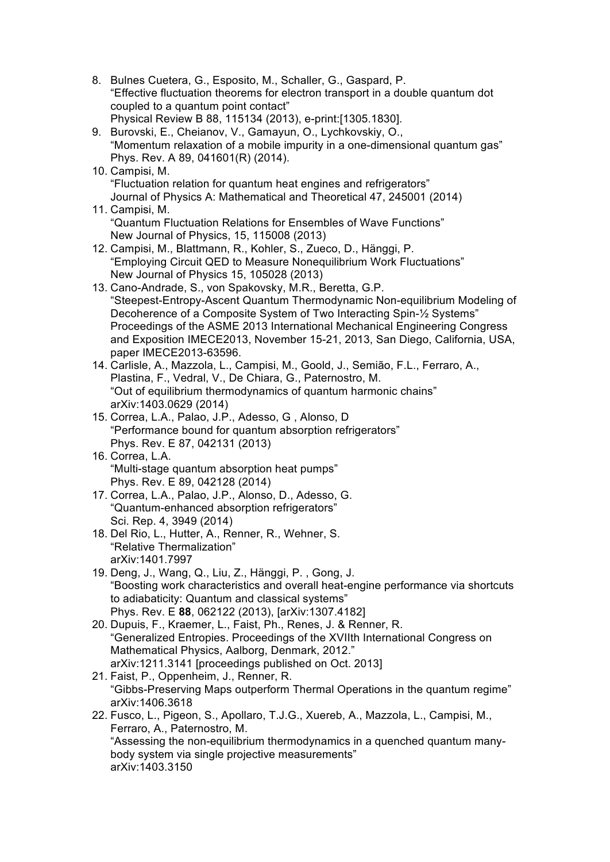8. Bulnes Cuetera, G., Esposito, M., Schaller, G., Gaspard, P. "Effective fluctuation theorems for electron transport in a double quantum dot coupled to a quantum point contact" Physical Review B 88, 115134 (2013), e-print:[1305.1830]. 9. Burovski, E., Cheianov, V., Gamayun, O., Lychkovskiy, O., "Momentum relaxation of a mobile impurity in a one-dimensional quantum gas" Phys. Rev. A 89, 041601(R) (2014). 10. Campisi, M. "Fluctuation relation for quantum heat engines and refrigerators" Journal of Physics A: Mathematical and Theoretical 47, 245001 (2014) 11. Campisi, M. "Quantum Fluctuation Relations for Ensembles of Wave Functions" New Journal of Physics, 15, 115008 (2013) 12. Campisi, M., Blattmann, R., Kohler, S., Zueco, D., Hänggi, P. "Employing Circuit QED to Measure Nonequilibrium Work Fluctuations" New Journal of Physics 15, 105028 (2013) 13. Cano-Andrade, S., von Spakovsky, M.R., Beretta, G.P. "Steepest-Entropy-Ascent Quantum Thermodynamic Non-equilibrium Modeling of Decoherence of a Composite System of Two Interacting Spin-½ Systems" Proceedings of the ASME 2013 International Mechanical Engineering Congress and Exposition IMECE2013, November 15-21, 2013, San Diego, California, USA, paper IMECE2013-63596. 14. Carlisle, A., Mazzola, L., Campisi, M., Goold, J., Semião, F.L., Ferraro, A., Plastina, F., Vedral, V., De Chiara, G., Paternostro, M. "Out of equilibrium thermodynamics of quantum harmonic chains" arXiv:1403.0629 (2014) 15. Correa, L.A., Palao, J.P., Adesso, G , Alonso, D "Performance bound for quantum absorption refrigerators" Phys. Rev. E 87, 042131 (2013) 16. Correa, L.A. "Multi-stage quantum absorption heat pumps" Phys. Rev. E 89, 042128 (2014) 17. Correa, L.A., Palao, J.P., Alonso, D., Adesso, G. "Quantum-enhanced absorption refrigerators" Sci. Rep. 4, 3949 (2014) 18. Del Rio, L., Hutter, A., Renner, R., Wehner, S. "Relative Thermalization" arXiv:1401.7997 19. Deng, J., Wang, Q., Liu, Z., Hänggi, P. , Gong, J. "Boosting work characteristics and overall heat-engine performance via shortcuts to adiabaticity: Quantum and classical systems" Phys. Rev. E **88**, 062122 (2013), [arXiv:1307.4182] 20. Dupuis, F., Kraemer, L., Faist, Ph., Renes, J. & Renner, R. "Generalized Entropies. Proceedings of the XVIIth International Congress on Mathematical Physics, Aalborg, Denmark, 2012." arXiv:1211.3141 [proceedings published on Oct. 2013] 21. Faist, P., Oppenheim, J., Renner, R. "Gibbs-Preserving Maps outperform Thermal Operations in the quantum regime" arXiv:1406.3618 22. Fusco, L., Pigeon, S., Apollaro, T.J.G., Xuereb, A., Mazzola, L., Campisi, M., Ferraro, A., Paternostro, M. "Assessing the non-equilibrium thermodynamics in a quenched quantum manybody system via single projective measurements" arXiv:1403.3150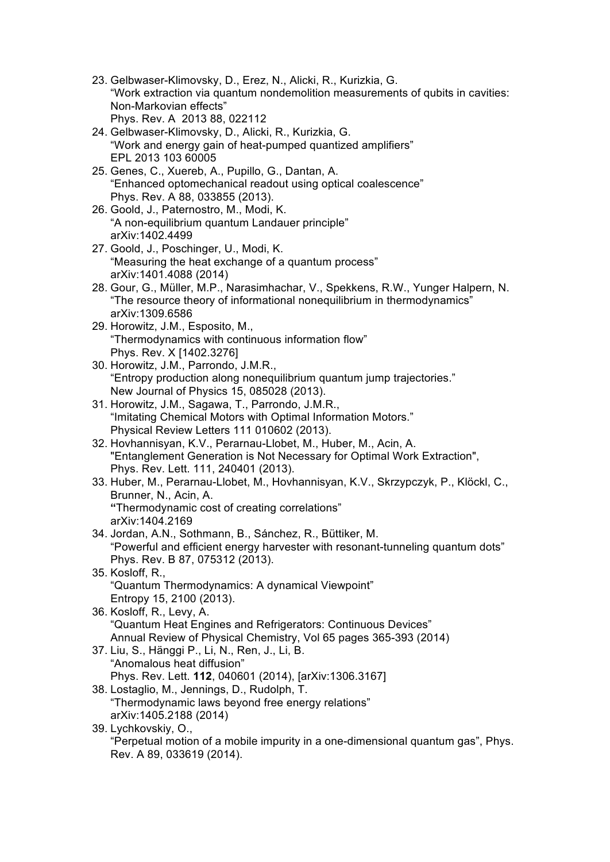- 23. Gelbwaser-Klimovsky, D., Erez, N., Alicki, R., Kurizkia, G. "Work extraction via quantum nondemolition measurements of qubits in cavities: Non-Markovian effects" Phys. Rev. A 2013 88, 022112
- 24. Gelbwaser-Klimovsky, D., Alicki, R., Kurizkia, G. "Work and energy gain of heat-pumped quantized amplifiers" EPL 2013 103 60005
- 25. Genes, C., Xuereb, A., Pupillo, G., Dantan, A. "Enhanced optomechanical readout using optical coalescence" Phys. Rev. A 88, 033855 (2013).
- 26. Goold, J., Paternostro, M., Modi, K. "A non-equilibrium quantum Landauer principle" arXiv:1402.4499
- 27. Goold, J., Poschinger, U., Modi, K. "Measuring the heat exchange of a quantum process" arXiv:1401.4088 (2014)
- 28. Gour, G., Müller, M.P., Narasimhachar, V., Spekkens, R.W., Yunger Halpern, N. "The resource theory of informational nonequilibrium in thermodynamics" arXiv:1309.6586
- 29. Horowitz, J.M., Esposito, M., "Thermodynamics with continuous information flow" Phys. Rev. X [1402.3276]
- 30. Horowitz, J.M., Parrondo, J.M.R., "Entropy production along nonequilibrium quantum jump trajectories." New Journal of Physics 15, 085028 (2013).
- 31. Horowitz, J.M., Sagawa, T., Parrondo, J.M.R., "Imitating Chemical Motors with Optimal Information Motors." Physical Review Letters 111 010602 (2013).
- 32. Hovhannisyan, K.V., Perarnau-Llobet, M., Huber, M., Acin, A. "Entanglement Generation is Not Necessary for Optimal Work Extraction", Phys. Rev. Lett. 111, 240401 (2013).
- 33. Huber, M., Perarnau-Llobet, M., Hovhannisyan, K.V., Skrzypczyk, P., Klöckl, C., Brunner, N., Acin, A. **"**Thermodynamic cost of creating correlations" arXiv:1404.2169
- 34. Jordan, A.N., Sothmann, B., Sánchez, R., Büttiker, M. "Powerful and efficient energy harvester with resonant-tunneling quantum dots" Phys. Rev. B 87, 075312 (2013).
- 35. Kosloff, R., "Quantum Thermodynamics: A dynamical Viewpoint" Entropy 15, 2100 (2013).
- 36. Kosloff, R., Levy, A. "Quantum Heat Engines and Refrigerators: Continuous Devices" Annual Review of Physical Chemistry, Vol 65 pages 365-393 (2014)
- 37. Liu, S., Hänggi P., Li, N., Ren, J., Li, B. "Anomalous heat diffusion" Phys. Rev. Lett. **112**, 040601 (2014), [arXiv:1306.3167]
- 38. Lostaglio, M., Jennings, D., Rudolph, T. "Thermodynamic laws beyond free energy relations" arXiv:1405.2188 (2014)
- 39. Lychkovskiy, O., "Perpetual motion of a mobile impurity in a one-dimensional quantum gas", Phys. Rev. A 89, 033619 (2014).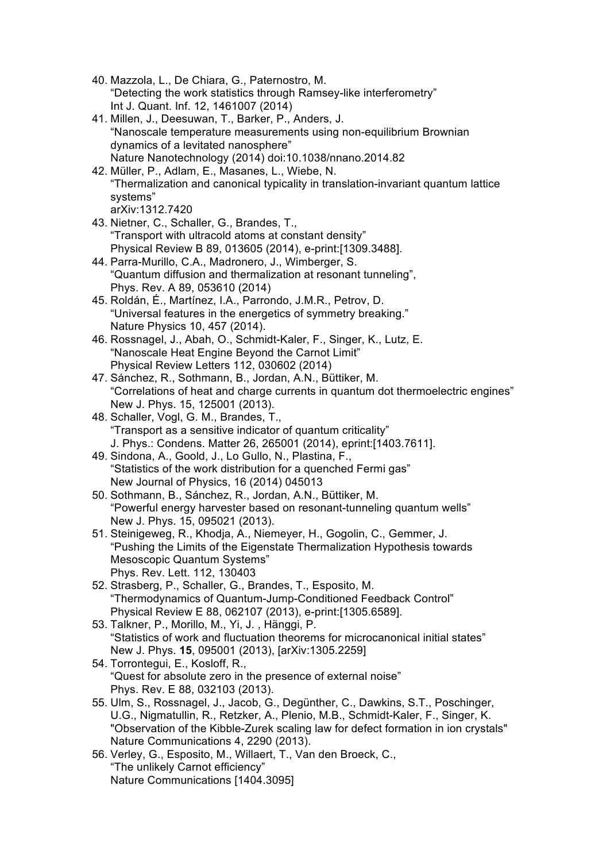- 40. Mazzola, L., De Chiara, G., Paternostro, M. "Detecting the work statistics through Ramsey-like interferometry" Int J. Quant. Inf. 12, 1461007 (2014)
- 41. Millen, J., Deesuwan, T., Barker, P., Anders, J. "Nanoscale temperature measurements using non-equilibrium Brownian dynamics of a levitated nanosphere" Nature Nanotechnology (2014) doi:10.1038/nnano.2014.82
- 42. Müller, P., Adlam, E., Masanes, L., Wiebe, N. "Thermalization and canonical typicality in translation-invariant quantum lattice systems" arXiv:1312.7420
- 43. Nietner, C., Schaller, G., Brandes, T., "Transport with ultracold atoms at constant density" Physical Review B 89, 013605 (2014), e-print:[1309.3488].
- 44. Parra-Murillo, C.A., Madronero, J., Wimberger, S. "Quantum diffusion and thermalization at resonant tunneling", Phys. Rev. A 89, 053610 (2014)
- 45. Roldán, É., Martínez, I.A., Parrondo, J.M.R., Petrov, D. "Universal features in the energetics of symmetry breaking." Nature Physics 10, 457 (2014).
- 46. Rossnagel, J., Abah, O., Schmidt-Kaler, F., Singer, K., Lutz, E. "Nanoscale Heat Engine Beyond the Carnot Limit" Physical Review Letters 112, 030602 (2014)
- 47. Sánchez, R., Sothmann, B., Jordan, A.N., Büttiker, M. "Correlations of heat and charge currents in quantum dot thermoelectric engines" New J. Phys. 15, 125001 (2013).
- 48. Schaller, Vogl, G. M., Brandes, T., "Transport as a sensitive indicator of quantum criticality" J. Phys.: Condens. Matter 26, 265001 (2014), eprint:[1403.7611].
- 49. Sindona, A., Goold, J., Lo Gullo, N., Plastina, F., "Statistics of the work distribution for a quenched Fermi gas" New Journal of Physics, 16 (2014) 045013
- 50. Sothmann, B., Sánchez, R., Jordan, A.N., Büttiker, M. "Powerful energy harvester based on resonant-tunneling quantum wells" New J. Phys. 15, 095021 (2013).
- 51. Steinigeweg, R., Khodja, A., Niemeyer, H., Gogolin, C., Gemmer, J. "Pushing the Limits of the Eigenstate Thermalization Hypothesis towards Mesoscopic Quantum Systems" Phys. Rev. Lett. 112, 130403
- 52. Strasberg, P., Schaller, G., Brandes, T., Esposito, M. "Thermodynamics of Quantum-Jump-Conditioned Feedback Control" Physical Review E 88, 062107 (2013), e-print:[1305.6589].
- 53. Talkner, P., Morillo, M., Yi, J. , Hänggi, P. "Statistics of work and fluctuation theorems for microcanonical initial states" New J. Phys. **15**, 095001 (2013), [arXiv:1305.2259]
- 54. Torrontegui, E., Kosloff, R., "Quest for absolute zero in the presence of external noise" Phys. Rev. E 88, 032103 (2013).
- 55. Ulm, S., Rossnagel, J., Jacob, G., Degünther, C., Dawkins, S.T., Poschinger, U.G., Nigmatullin, R., Retzker, A., Plenio, M.B., Schmidt-Kaler, F., Singer, K. "Observation of the Kibble-Zurek scaling law for defect formation in ion crystals" Nature Communications 4, 2290 (2013).
- 56. Verley, G., Esposito, M., Willaert, T., Van den Broeck, C., "The unlikely Carnot efficiency" Nature Communications [1404.3095]